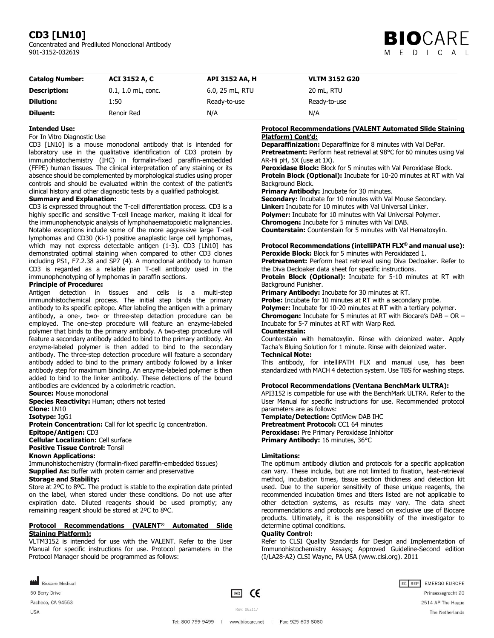# **CD3 [LN10]**

Concentrated and Prediluted Monoclonal Antibody 901-3152-032619



| <b>Catalog Number:</b> | ACI 3152 A, C        | API 3152 AA, H  | <b>VLTM 3152 G20</b> |
|------------------------|----------------------|-----------------|----------------------|
| <b>Description:</b>    | $0.1, 1.0$ mL, conc. | 6.0, 25 mL, RTU | 20 mL, RTU           |
| <b>Dilution:</b>       | 1:50                 | Ready-to-use    | Ready-to-use         |
| Diluent:               | Renoir Red           | N/A             | N/A                  |

# **Intended Use:**

For In Vitro Diagnostic Use

CD3 [LN10] is a mouse monoclonal antibody that is intended for laboratory use in the qualitative identification of CD3 protein by immunohistochemistry (IHC) in formalin-fixed paraffin-embedded (FFPE) human tissues. The clinical interpretation of any staining or its absence should be complemented by morphological studies using proper controls and should be evaluated within the context of the patient's clinical history and other diagnostic tests by a qualified pathologist.

# **Summary and Explanation:**

CD3 is expressed throughout the T-cell differentiation process. CD3 is a highly specific and sensitive T-cell lineage marker, making it ideal for the immunophenotypic analysis of lymphohaematopoietic malignancies. Notable exceptions include some of the more aggressive large T-cell lymphomas and CD30 (Ki-1) positive anaplastic large cell lymphomas, which may not express detectable antigen (1-3). CD3 [LN10] has demonstrated optimal staining when compared to other CD3 clones including PS1, F7.2.38 and SP7 (4). A monoclonal antibody to human CD3 is regarded as a reliable pan T-cell antibody used in the immunophenotyping of lymphomas in paraffin sections.

## **Principle of Procedure:**

Antigen detection in tissues and cells is a multi-step immunohistochemical process. The initial step binds the primary antibody to its specific epitope. After labeling the antigen with a primary antibody, a one-, two- or three-step detection procedure can be employed. The one-step procedure will feature an enzyme-labeled polymer that binds to the primary antibody. A two-step procedure will feature a secondary antibody added to bind to the primary antibody. An enzyme-labeled polymer is then added to bind to the secondary antibody. The three-step detection procedure will feature a secondary antibody added to bind to the primary antibody followed by a linker antibody step for maximum binding. An enzyme-labeled polymer is then added to bind to the linker antibody. These detections of the bound antibodies are evidenced by a colorimetric reaction.

**Source:** Mouse monoclonal

**Species Reactivity:** Human; others not tested

**Clone:** LN10

**Isotype:** IgG1

**Protein Concentration:** Call for lot specific Ig concentration. **Epitope/Antigen:** CD3 **Cellular Localization:** Cell surface **Positive Tissue Control:** Tonsil

**Known Applications:**

Immunohistochemistry (formalin-fixed paraffin-embedded tissues) **Supplied As:** Buffer with protein carrier and preservative **Storage and Stability:**

Store at 2ºC to 8ºC. The product is stable to the expiration date printed on the label, when stored under these conditions. Do not use after expiration date. Diluted reagents should be used promptly; any remaining reagent should be stored at 2ºC to 8ºC.

## **Protocol Recommendations (VALENT® Automated Slide Staining Platform):**

VLTM3152 is intended for use with the VALENT. Refer to the User Manual for specific instructions for use. Protocol parameters in the Protocol Manager should be programmed as follows:

**Protocol Recommendations (VALENT Automated Slide Staining Platform) Cont'd:**

**Deparaffinization:** Deparaffinize for 8 minutes with Val DePar. **Pretreatment:** Perform heat retrieval at 98°C for 60 minutes using Val AR-Hi pH, 5X (use at 1X).

**Peroxidase Block:** Block for 5 minutes with Val Peroxidase Block. **Protein Block (Optional):** Incubate for 10-20 minutes at RT with Val Background Block.

**Primary Antibody:** Incubate for 30 minutes.

**Secondary:** Incubate for 10 minutes with Val Mouse Secondary. **Linker:** Incubate for 10 minutes with Val Universal Linker. **Polymer:** Incubate for 10 minutes with Val Universal Polymer. **Chromogen:** Incubate for 5 minutes with Val DAB. **Counterstain:** Counterstain for 5 minutes with Val Hematoxylin.

# **Protocol Recommendations (intelliPATH FLX® and manual use):**

**Peroxide Block:** Block for 5 minutes with Peroxidazed 1. **Pretreatment:** Perform heat retrieval using Diva Decloaker. Refer to the Diva Decloaker data sheet for specific instructions.

**Protein Block (Optional):** Incubate for 5-10 minutes at RT with Background Punisher.

**Primary Antibody:** Incubate for 30 minutes at RT.

**Probe:** Incubate for 10 minutes at RT with a secondary probe.

**Polymer:** Incubate for 10-20 minutes at RT with a tertiary polymer. **Chromogen:** Incubate for 5 minutes at RT with Biocare's DAB – OR – Incubate for 5-7 minutes at RT with Warp Red.

#### **Counterstain:**

Counterstain with hematoxylin. Rinse with deionized water. Apply Tacha's Bluing Solution for 1 minute. Rinse with deionized water.

# **Technical Note:**

This antibody, for intelliPATH FLX and manual use, has been standardized with MACH 4 detection system. Use TBS for washing steps.

# **Protocol Recommendations (Ventana BenchMark ULTRA):**

API3152 is compatible for use with the BenchMark ULTRA. Refer to the User Manual for specific instructions for use. Recommended protocol parameters are as follows:

**Template/Detection:** OptiView DAB IHC **Pretreatment Protocol:** CC1 64 minutes **Peroxidase:** Pre Primary Peroxidase Inhibitor **Primary Antibody:** 16 minutes, 36°C

# **Limitations:**

The optimum antibody dilution and protocols for a specific application can vary. These include, but are not limited to fixation, heat-retrieval method, incubation times, tissue section thickness and detection kit used. Due to the superior sensitivity of these unique reagents, the recommended incubation times and titers listed are not applicable to other detection systems, as results may vary. The data sheet recommendations and protocols are based on exclusive use of Biocare products. Ultimately, it is the responsibility of the investigator to determine optimal conditions.

## **Quality Control:**

Refer to CLSI Quality Standards for Design and Implementation of Immunohistochemistry Assays; Approved Guideline-Second edition (I/LA28-A2) CLSI Wayne, PA USA (www.clsi.org). 2011

Biocare Medical 60 Berry Drive Pacheco, CA 94553

**USA** 

 $\boxed{VD}$  CE

Rev: 062117

EC REP EMERGO EUROPE Prinsessegracht 20 2514 AP The Hague The Netherlands